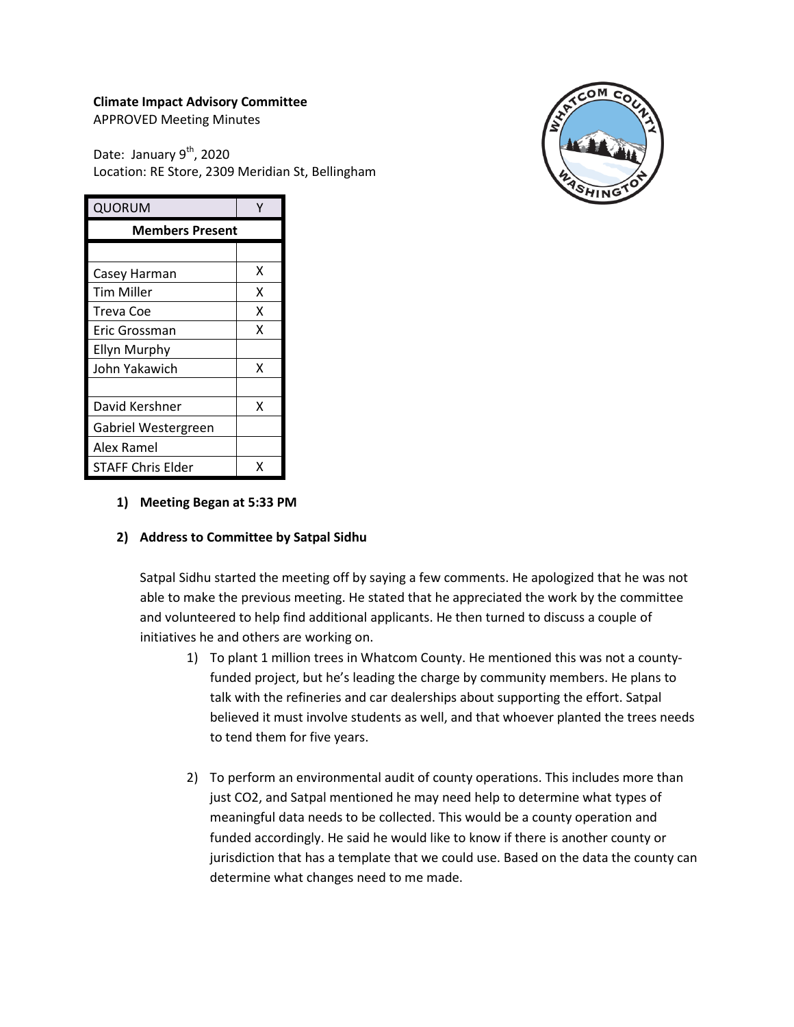## **Climate Impact Advisory Committee**

APPROVED Meeting Minutes

Date: January 9<sup>th</sup>, 2020 Location: RE Store, 2309 Meridian St, Bellingham



| QUORUM                   |   |
|--------------------------|---|
| <b>Members Present</b>   |   |
|                          |   |
| Casey Harman             | х |
| <b>Tim Miller</b>        | x |
| Treva Coe                | x |
| Eric Grossman            | x |
| <b>Ellyn Murphy</b>      |   |
| John Yakawich            | x |
|                          |   |
| David Kershner           | x |
| Gabriel Westergreen      |   |
| Alex Ramel               |   |
| <b>STAFF Chris Elder</b> | x |

### **1) Meeting Began at 5:33 PM**

### **2) Address to Committee by Satpal Sidhu**

Satpal Sidhu started the meeting off by saying a few comments. He apologized that he was not able to make the previous meeting. He stated that he appreciated the work by the committee and volunteered to help find additional applicants. He then turned to discuss a couple of initiatives he and others are working on.

- 1) To plant 1 million trees in Whatcom County. He mentioned this was not a countyfunded project, but he's leading the charge by community members. He plans to talk with the refineries and car dealerships about supporting the effort. Satpal believed it must involve students as well, and that whoever planted the trees needs to tend them for five years.
- 2) To perform an environmental audit of county operations. This includes more than just CO2, and Satpal mentioned he may need help to determine what types of meaningful data needs to be collected. This would be a county operation and funded accordingly. He said he would like to know if there is another county or jurisdiction that has a template that we could use. Based on the data the county can determine what changes need to me made.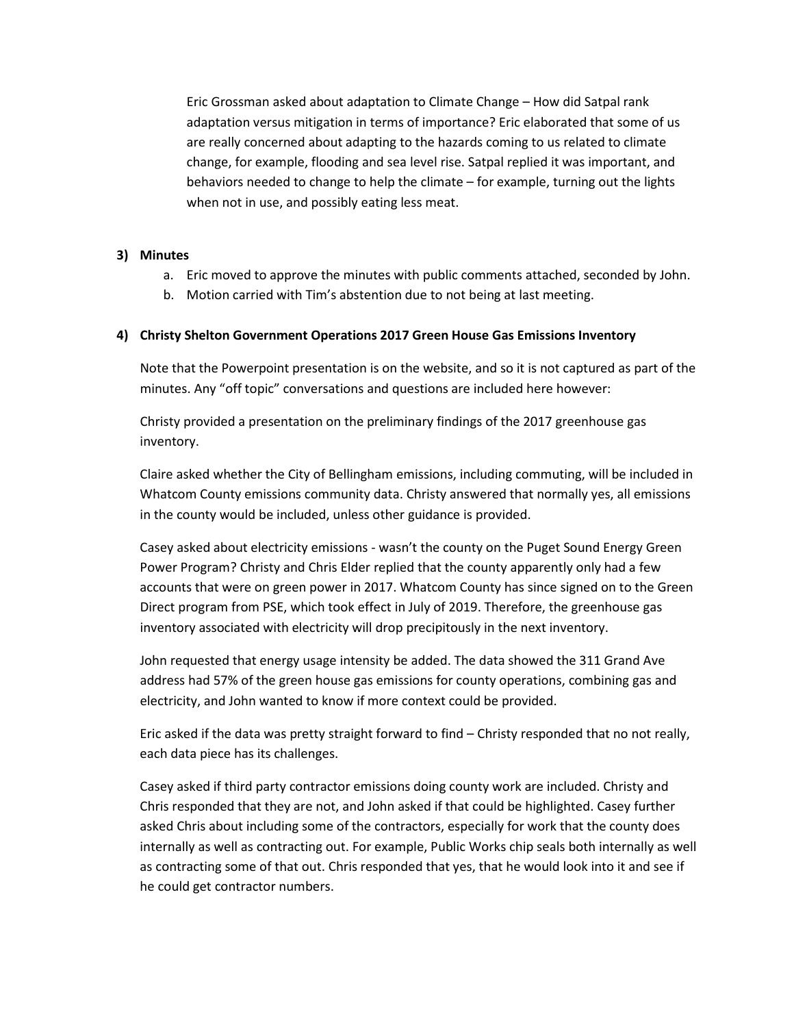Eric Grossman asked about adaptation to Climate Change – How did Satpal rank adaptation versus mitigation in terms of importance? Eric elaborated that some of us are really concerned about adapting to the hazards coming to us related to climate change, for example, flooding and sea level rise. Satpal replied it was important, and behaviors needed to change to help the climate – for example, turning out the lights when not in use, and possibly eating less meat.

### **3) Minutes**

- a. Eric moved to approve the minutes with public comments attached, seconded by John.
- b. Motion carried with Tim's abstention due to not being at last meeting.

## **4) Christy Shelton Government Operations 2017 Green House Gas Emissions Inventory**

Note that the Powerpoint presentation is on the website, and so it is not captured as part of the minutes. Any "off topic" conversations and questions are included here however:

Christy provided a presentation on the preliminary findings of the 2017 greenhouse gas inventory.

Claire asked whether the City of Bellingham emissions, including commuting, will be included in Whatcom County emissions community data. Christy answered that normally yes, all emissions in the county would be included, unless other guidance is provided.

Casey asked about electricity emissions - wasn't the county on the Puget Sound Energy Green Power Program? Christy and Chris Elder replied that the county apparently only had a few accounts that were on green power in 2017. Whatcom County has since signed on to the Green Direct program from PSE, which took effect in July of 2019. Therefore, the greenhouse gas inventory associated with electricity will drop precipitously in the next inventory.

John requested that energy usage intensity be added. The data showed the 311 Grand Ave address had 57% of the green house gas emissions for county operations, combining gas and electricity, and John wanted to know if more context could be provided.

Eric asked if the data was pretty straight forward to find – Christy responded that no not really, each data piece has its challenges.

Casey asked if third party contractor emissions doing county work are included. Christy and Chris responded that they are not, and John asked if that could be highlighted. Casey further asked Chris about including some of the contractors, especially for work that the county does internally as well as contracting out. For example, Public Works chip seals both internally as well as contracting some of that out. Chris responded that yes, that he would look into it and see if he could get contractor numbers.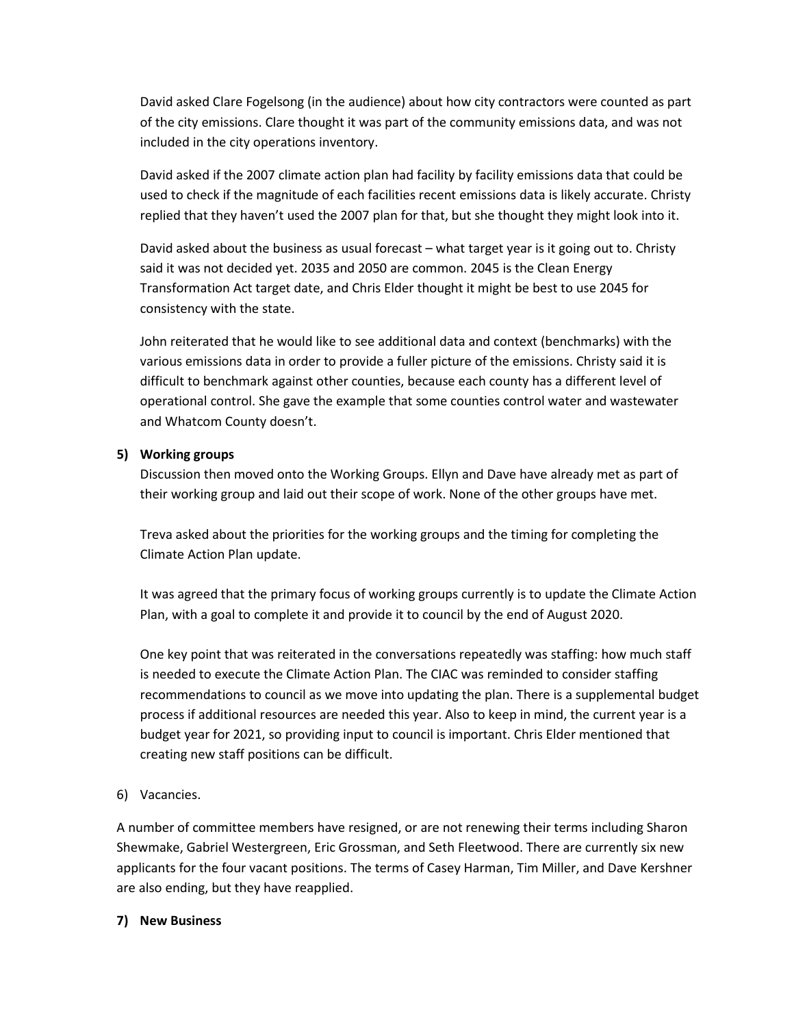David asked Clare Fogelsong (in the audience) about how city contractors were counted as part of the city emissions. Clare thought it was part of the community emissions data, and was not included in the city operations inventory.

David asked if the 2007 climate action plan had facility by facility emissions data that could be used to check if the magnitude of each facilities recent emissions data is likely accurate. Christy replied that they haven't used the 2007 plan for that, but she thought they might look into it.

David asked about the business as usual forecast – what target year is it going out to. Christy said it was not decided yet. 2035 and 2050 are common. 2045 is the Clean Energy Transformation Act target date, and Chris Elder thought it might be best to use 2045 for consistency with the state.

John reiterated that he would like to see additional data and context (benchmarks) with the various emissions data in order to provide a fuller picture of the emissions. Christy said it is difficult to benchmark against other counties, because each county has a different level of operational control. She gave the example that some counties control water and wastewater and Whatcom County doesn't.

## **5) Working groups**

Discussion then moved onto the Working Groups. Ellyn and Dave have already met as part of their working group and laid out their scope of work. None of the other groups have met.

Treva asked about the priorities for the working groups and the timing for completing the Climate Action Plan update.

It was agreed that the primary focus of working groups currently is to update the Climate Action Plan, with a goal to complete it and provide it to council by the end of August 2020.

One key point that was reiterated in the conversations repeatedly was staffing: how much staff is needed to execute the Climate Action Plan. The CIAC was reminded to consider staffing recommendations to council as we move into updating the plan. There is a supplemental budget process if additional resources are needed this year. Also to keep in mind, the current year is a budget year for 2021, so providing input to council is important. Chris Elder mentioned that creating new staff positions can be difficult.

# 6) Vacancies.

A number of committee members have resigned, or are not renewing their terms including Sharon Shewmake, Gabriel Westergreen, Eric Grossman, and Seth Fleetwood. There are currently six new applicants for the four vacant positions. The terms of Casey Harman, Tim Miller, and Dave Kershner are also ending, but they have reapplied.

### **7) New Business**